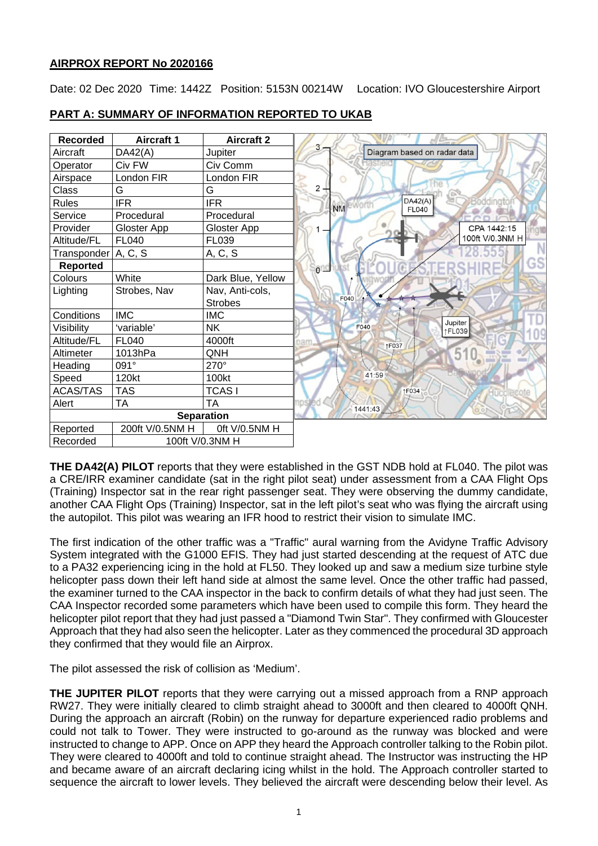## **AIRPROX REPORT No 2020166**

Date: 02 Dec 2020 Time: 1442Z Position: 5153N 00214W Location: IVO Gloucestershire Airport

| <b>Recorded</b>       | <b>Aircraft 1</b> | <b>Aircraft 2</b> |                                                   |
|-----------------------|-------------------|-------------------|---------------------------------------------------|
| Aircraft              | DA42(A)           | Jupiter           | 3<br>Diagram based on radar data                  |
| Operator              | Civ FW            | Civ Comm          |                                                   |
| Airspace              | London FIR        | London FIR        |                                                   |
| Class                 | G                 | G                 | 2                                                 |
| <b>Rules</b>          | <b>IFR</b>        | <b>IFR</b>        | DA42(A)<br>Boddingto<br>NM eworth<br><b>FL040</b> |
| Service               | Procedural        | Procedural        |                                                   |
| Provider              | Gloster App       | Gloster App       | CPA 1442:15                                       |
| Altitude/FL           | <b>FL040</b>      | FL039             | 100ft V/0.3NM H                                   |
| Transponder   A, C, S |                   | A, C, S           |                                                   |
| Reported              |                   |                   | GS<br>iand                                        |
| Colours               | White             | Dark Blue, Yellow |                                                   |
| Lighting              | Strobes, Nav      | Nav, Anti-cols,   |                                                   |
|                       |                   | <b>Strobes</b>    | F040                                              |
| Conditions            | <b>IMC</b>        | <b>IMC</b>        |                                                   |
| Visibility            | 'variable'        | <b>NK</b>         | Jupiter<br>F040<br>↑FL039                         |
| Altitude/FL           | <b>FL040</b>      | 4000ft            | nam.<br>↑F037                                     |
| Altimeter             | 1013hPa           | QNH               | $5^{\circ}$                                       |
| Heading               | 091°              | 270°              |                                                   |
| Speed                 | 120kt             | 100kt             | 41:59                                             |
| <b>ACAS/TAS</b>       | <b>TAS</b>        | <b>TCASI</b>      | <b>1F034</b>                                      |
| Alert                 | <b>TA</b>         | <b>TA</b>         | 1441:43                                           |
| <b>Separation</b>     |                   |                   |                                                   |
| Reported              | 200ft V/0.5NM H   | Oft V/0.5NM H     |                                                   |
| Recorded              |                   | 100ft V/0.3NM H   |                                                   |

## **PART A: SUMMARY OF INFORMATION REPORTED TO UKAB**

**THE DA42(A) PILOT** reports that they were established in the GST NDB hold at FL040. The pilot was a CRE/IRR examiner candidate (sat in the right pilot seat) under assessment from a CAA Flight Ops (Training) Inspector sat in the rear right passenger seat. They were observing the dummy candidate, another CAA Flight Ops (Training) Inspector, sat in the left pilot's seat who was flying the aircraft using the autopilot. This pilot was wearing an IFR hood to restrict their vision to simulate IMC.

The first indication of the other traffic was a "Traffic" aural warning from the Avidyne Traffic Advisory System integrated with the G1000 EFIS. They had just started descending at the request of ATC due to a PA32 experiencing icing in the hold at FL50. They looked up and saw a medium size turbine style helicopter pass down their left hand side at almost the same level. Once the other traffic had passed, the examiner turned to the CAA inspector in the back to confirm details of what they had just seen. The CAA Inspector recorded some parameters which have been used to compile this form. They heard the helicopter pilot report that they had just passed a "Diamond Twin Star". They confirmed with Gloucester Approach that they had also seen the helicopter. Later as they commenced the procedural 3D approach they confirmed that they would file an Airprox.

The pilot assessed the risk of collision as 'Medium'.

**THE JUPITER PILOT** reports that they were carrying out a missed approach from a RNP approach RW27. They were initially cleared to climb straight ahead to 3000ft and then cleared to 4000ft QNH. During the approach an aircraft (Robin) on the runway for departure experienced radio problems and could not talk to Tower. They were instructed to go-around as the runway was blocked and were instructed to change to APP. Once on APP they heard the Approach controller talking to the Robin pilot. They were cleared to 4000ft and told to continue straight ahead. The Instructor was instructing the HP and became aware of an aircraft declaring icing whilst in the hold. The Approach controller started to sequence the aircraft to lower levels. They believed the aircraft were descending below their level. As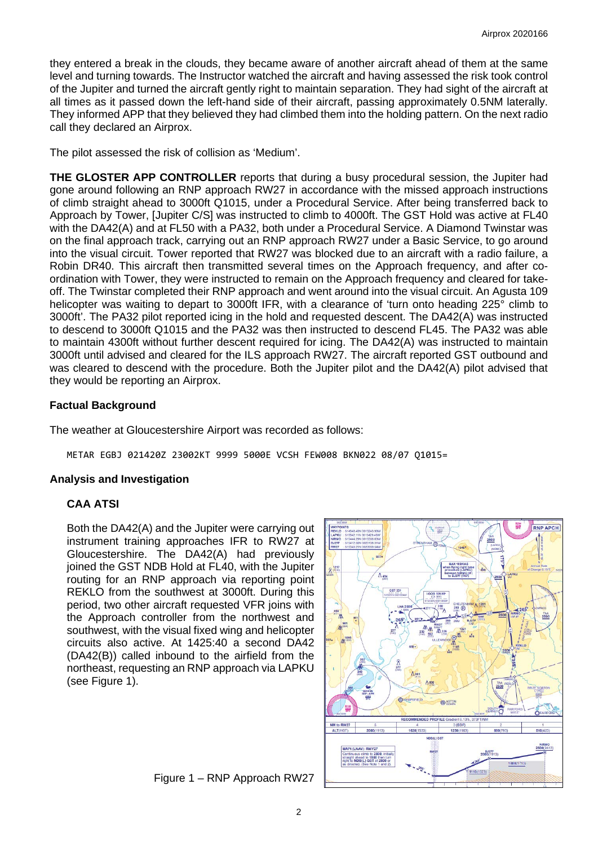they entered a break in the clouds, they became aware of another aircraft ahead of them at the same level and turning towards. The Instructor watched the aircraft and having assessed the risk took control of the Jupiter and turned the aircraft gently right to maintain separation. They had sight of the aircraft at all times as it passed down the left-hand side of their aircraft, passing approximately 0.5NM laterally. They informed APP that they believed they had climbed them into the holding pattern. On the next radio call they declared an Airprox.

The pilot assessed the risk of collision as 'Medium'.

**THE GLOSTER APP CONTROLLER** reports that during a busy procedural session, the Jupiter had gone around following an RNP approach RW27 in accordance with the missed approach instructions of climb straight ahead to 3000ft Q1015, under a Procedural Service. After being transferred back to Approach by Tower, [Jupiter C/S] was instructed to climb to 4000ft. The GST Hold was active at FL40 with the DA42(A) and at FL50 with a PA32, both under a Procedural Service. A Diamond Twinstar was on the final approach track, carrying out an RNP approach RW27 under a Basic Service, to go around into the visual circuit. Tower reported that RW27 was blocked due to an aircraft with a radio failure, a Robin DR40. This aircraft then transmitted several times on the Approach frequency, and after coordination with Tower, they were instructed to remain on the Approach frequency and cleared for takeoff. The Twinstar completed their RNP approach and went around into the visual circuit. An Agusta 109 helicopter was waiting to depart to 3000ft IFR, with a clearance of 'turn onto heading 225° climb to 3000ft'. The PA32 pilot reported icing in the hold and requested descent. The DA42(A) was instructed to descend to 3000ft Q1015 and the PA32 was then instructed to descend FL45. The PA32 was able to maintain 4300ft without further descent required for icing. The DA42(A) was instructed to maintain 3000ft until advised and cleared for the ILS approach RW27. The aircraft reported GST outbound and was cleared to descend with the procedure. Both the Jupiter pilot and the DA42(A) pilot advised that they would be reporting an Airprox.

### **Factual Background**

The weather at Gloucestershire Airport was recorded as follows:

METAR EGBJ 021420Z 23002KT 9999 5000E VCSH FEW008 BKN022 08/07 Q1015=

### **Analysis and Investigation**

### **CAA ATSI**

Both the DA42(A) and the Jupiter were carrying out instrument training approaches IFR to RW27 at Gloucestershire. The DA42(A) had previously joined the GST NDB Hold at FL40, with the Jupiter routing for an RNP approach via reporting point REKLO from the southwest at 3000ft. During this period, two other aircraft requested VFR joins with the Approach controller from the northwest and southwest, with the visual fixed wing and helicopter circuits also active. At 1425:40 a second DA42 (DA42(B)) called inbound to the airfield from the northeast, requesting an RNP approach via LAPKU (see Figure 1).



Figure 1 – RNP Approach RW27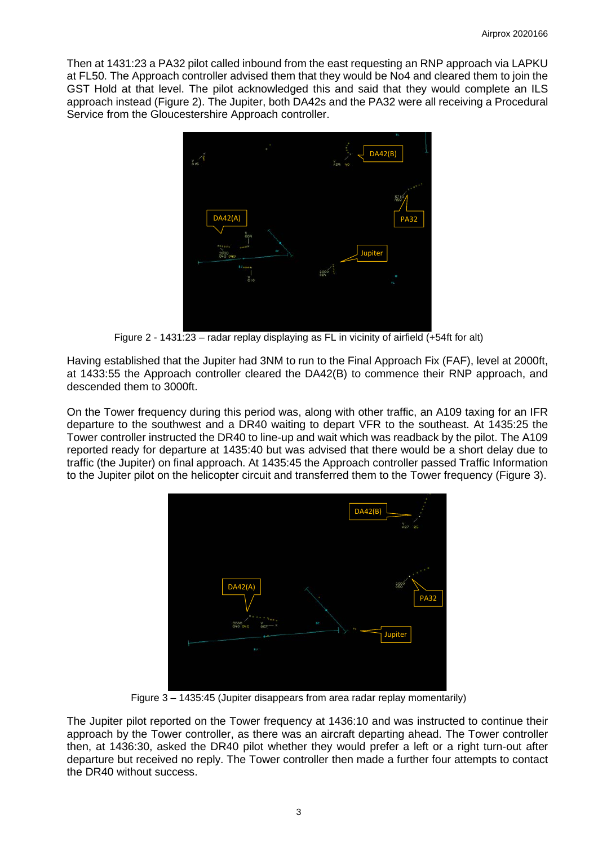Then at 1431:23 a PA32 pilot called inbound from the east requesting an RNP approach via LAPKU at FL50. The Approach controller advised them that they would be No4 and cleared them to join the GST Hold at that level. The pilot acknowledged this and said that they would complete an ILS approach instead (Figure 2). The Jupiter, both DA42s and the PA32 were all receiving a Procedural Service from the Gloucestershire Approach controller.



Figure 2 - 1431:23 – radar replay displaying as FL in vicinity of airfield (+54ft for alt)

Having established that the Jupiter had 3NM to run to the Final Approach Fix (FAF), level at 2000ft, at 1433:55 the Approach controller cleared the DA42(B) to commence their RNP approach, and descended them to 3000ft.

On the Tower frequency during this period was, along with other traffic, an A109 taxing for an IFR departure to the southwest and a DR40 waiting to depart VFR to the southeast. At 1435:25 the Tower controller instructed the DR40 to line-up and wait which was readback by the pilot. The A109 reported ready for departure at 1435:40 but was advised that there would be a short delay due to traffic (the Jupiter) on final approach. At 1435:45 the Approach controller passed Traffic Information to the Jupiter pilot on the helicopter circuit and transferred them to the Tower frequency (Figure 3).



Figure 3 – 1435:45 (Jupiter disappears from area radar replay momentarily)

The Jupiter pilot reported on the Tower frequency at 1436:10 and was instructed to continue their approach by the Tower controller, as there was an aircraft departing ahead. The Tower controller then, at 1436:30, asked the DR40 pilot whether they would prefer a left or a right turn-out after departure but received no reply. The Tower controller then made a further four attempts to contact the DR40 without success.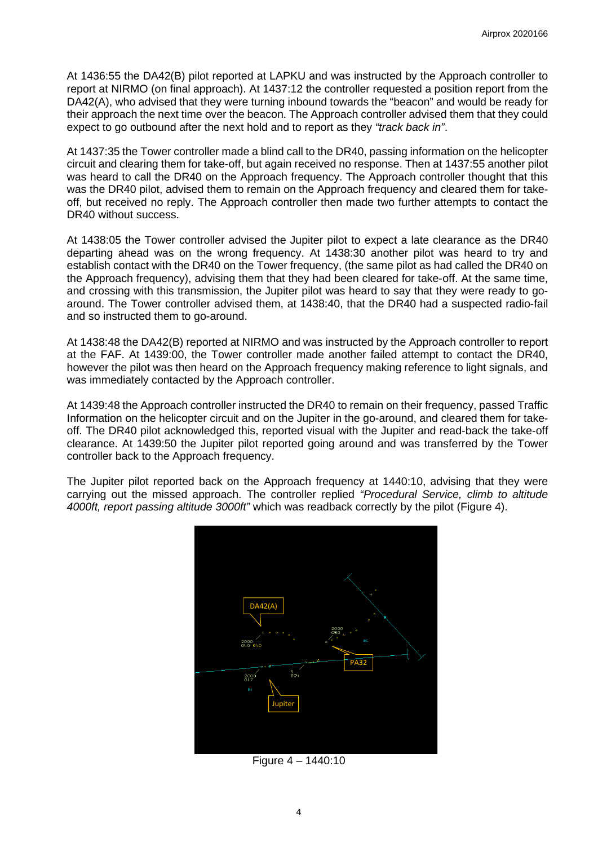At 1436:55 the DA42(B) pilot reported at LAPKU and was instructed by the Approach controller to report at NIRMO (on final approach). At 1437:12 the controller requested a position report from the DA42(A), who advised that they were turning inbound towards the "beacon" and would be ready for their approach the next time over the beacon. The Approach controller advised them that they could expect to go outbound after the next hold and to report as they *"track back in"*.

At 1437:35 the Tower controller made a blind call to the DR40, passing information on the helicopter circuit and clearing them for take-off, but again received no response. Then at 1437:55 another pilot was heard to call the DR40 on the Approach frequency. The Approach controller thought that this was the DR40 pilot, advised them to remain on the Approach frequency and cleared them for takeoff, but received no reply. The Approach controller then made two further attempts to contact the DR40 without success.

At 1438:05 the Tower controller advised the Jupiter pilot to expect a late clearance as the DR40 departing ahead was on the wrong frequency. At 1438:30 another pilot was heard to try and establish contact with the DR40 on the Tower frequency, (the same pilot as had called the DR40 on the Approach frequency), advising them that they had been cleared for take-off. At the same time, and crossing with this transmission, the Jupiter pilot was heard to say that they were ready to goaround. The Tower controller advised them, at 1438:40, that the DR40 had a suspected radio-fail and so instructed them to go-around.

At 1438:48 the DA42(B) reported at NIRMO and was instructed by the Approach controller to report at the FAF. At 1439:00, the Tower controller made another failed attempt to contact the DR40, however the pilot was then heard on the Approach frequency making reference to light signals, and was immediately contacted by the Approach controller.

At 1439:48 the Approach controller instructed the DR40 to remain on their frequency, passed Traffic Information on the helicopter circuit and on the Jupiter in the go-around, and cleared them for takeoff. The DR40 pilot acknowledged this, reported visual with the Jupiter and read-back the take-off clearance. At 1439:50 the Jupiter pilot reported going around and was transferred by the Tower controller back to the Approach frequency.

The Jupiter pilot reported back on the Approach frequency at 1440:10, advising that they were carrying out the missed approach. The controller replied *"Procedural Service, climb to altitude 4000ft, report passing altitude 3000ft"* which was readback correctly by the pilot (Figure 4).



Figure 4 – 1440:10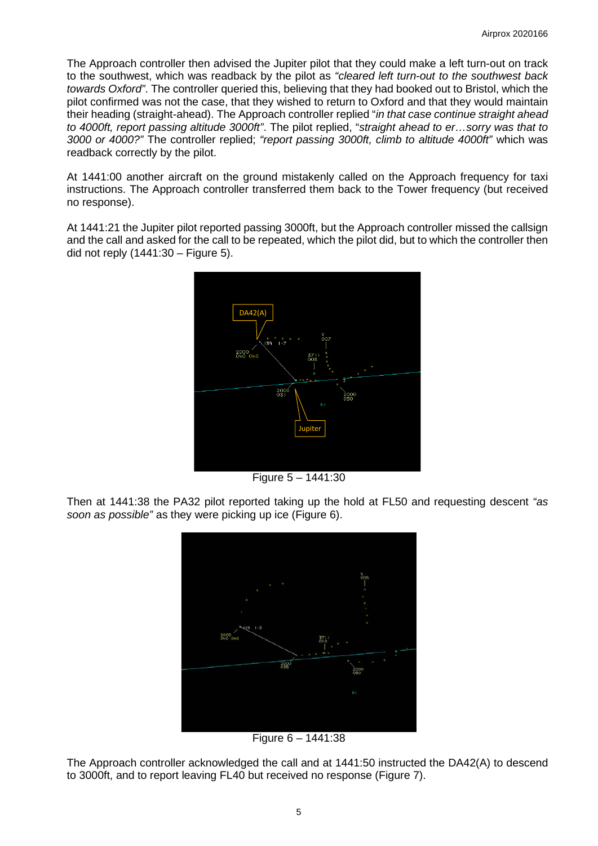The Approach controller then advised the Jupiter pilot that they could make a left turn-out on track to the southwest, which was readback by the pilot as *"cleared left turn-out to the southwest back towards Oxford"*. The controller queried this, believing that they had booked out to Bristol, which the pilot confirmed was not the case, that they wished to return to Oxford and that they would maintain their heading (straight-ahead). The Approach controller replied "*in that case continue straight ahead to 4000ft, report passing altitude 3000ft"*. The pilot replied, "*straight ahead to er…sorry was that to 3000 or 4000?"* The controller replied; *"report passing 3000ft, climb to altitude 4000ft"* which was readback correctly by the pilot.

At 1441:00 another aircraft on the ground mistakenly called on the Approach frequency for taxi instructions. The Approach controller transferred them back to the Tower frequency (but received no response).

At 1441:21 the Jupiter pilot reported passing 3000ft, but the Approach controller missed the callsign and the call and asked for the call to be repeated, which the pilot did, but to which the controller then did not reply (1441:30 – Figure 5).



Figure 5 – 1441:30

Then at 1441:38 the PA32 pilot reported taking up the hold at FL50 and requesting descent *"as soon as possible"* as they were picking up ice (Figure 6).



Figure 6 – 1441:38

The Approach controller acknowledged the call and at 1441:50 instructed the DA42(A) to descend to 3000ft, and to report leaving FL40 but received no response (Figure 7).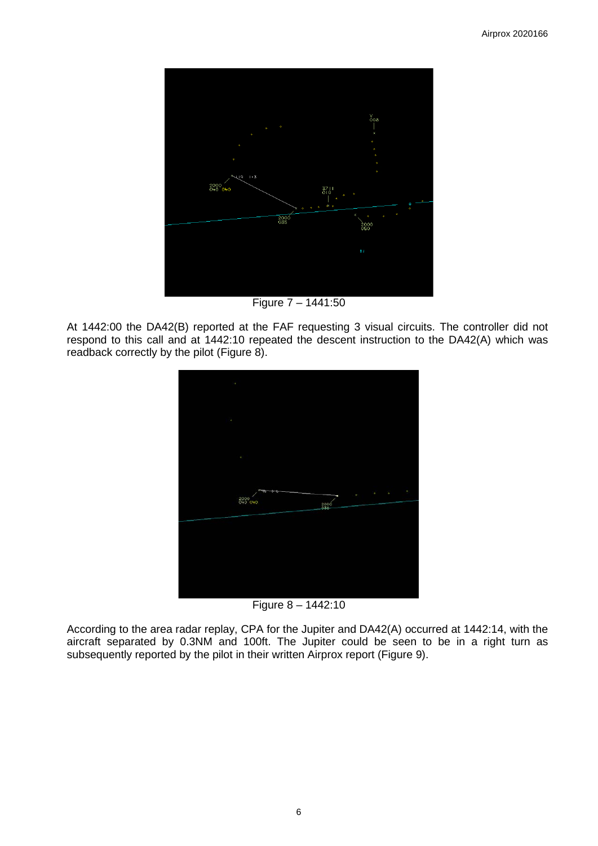

Figure 7 – 1441:50

At 1442:00 the DA42(B) reported at the FAF requesting 3 visual circuits. The controller did not respond to this call and at 1442:10 repeated the descent instruction to the DA42(A) which was readback correctly by the pilot (Figure 8).



Figure 8 – 1442:10

According to the area radar replay, CPA for the Jupiter and DA42(A) occurred at 1442:14, with the aircraft separated by 0.3NM and 100ft. The Jupiter could be seen to be in a right turn as subsequently reported by the pilot in their written Airprox report (Figure 9).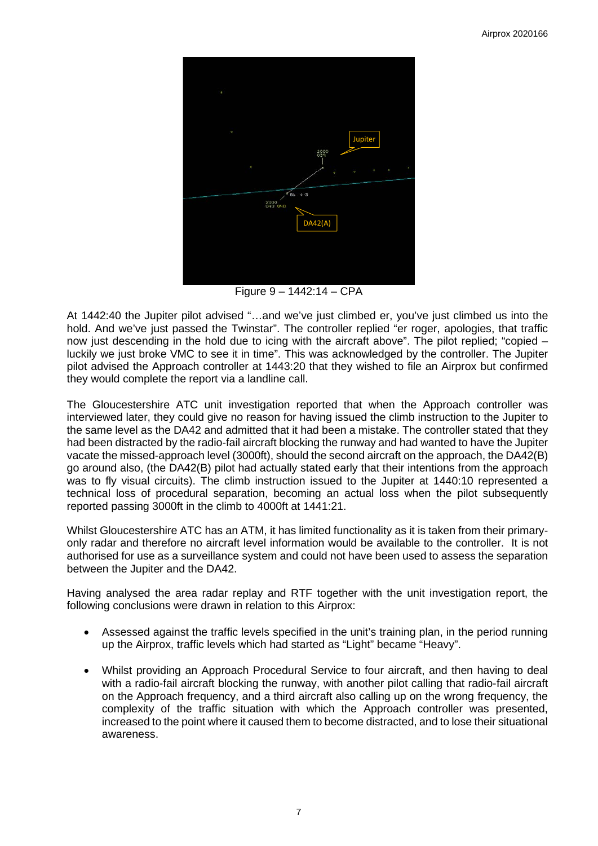

Figure 9 – 1442:14 – CPA

At 1442:40 the Jupiter pilot advised "…and we've just climbed er, you've just climbed us into the hold. And we've just passed the Twinstar". The controller replied "er roger, apologies, that traffic now just descending in the hold due to icing with the aircraft above". The pilot replied; "copied – luckily we just broke VMC to see it in time". This was acknowledged by the controller. The Jupiter pilot advised the Approach controller at 1443:20 that they wished to file an Airprox but confirmed they would complete the report via a landline call.

The Gloucestershire ATC unit investigation reported that when the Approach controller was interviewed later, they could give no reason for having issued the climb instruction to the Jupiter to the same level as the DA42 and admitted that it had been a mistake. The controller stated that they had been distracted by the radio-fail aircraft blocking the runway and had wanted to have the Jupiter vacate the missed-approach level (3000ft), should the second aircraft on the approach, the DA42(B) go around also, (the DA42(B) pilot had actually stated early that their intentions from the approach was to fly visual circuits). The climb instruction issued to the Jupiter at 1440:10 represented a technical loss of procedural separation, becoming an actual loss when the pilot subsequently reported passing 3000ft in the climb to 4000ft at 1441:21.

Whilst Gloucestershire ATC has an ATM, it has limited functionality as it is taken from their primaryonly radar and therefore no aircraft level information would be available to the controller. It is not authorised for use as a surveillance system and could not have been used to assess the separation between the Jupiter and the DA42.

Having analysed the area radar replay and RTF together with the unit investigation report, the following conclusions were drawn in relation to this Airprox:

- Assessed against the traffic levels specified in the unit's training plan, in the period running up the Airprox, traffic levels which had started as "Light" became "Heavy".
- Whilst providing an Approach Procedural Service to four aircraft, and then having to deal with a radio-fail aircraft blocking the runway, with another pilot calling that radio-fail aircraft on the Approach frequency, and a third aircraft also calling up on the wrong frequency, the complexity of the traffic situation with which the Approach controller was presented, increased to the point where it caused them to become distracted, and to lose their situational awareness.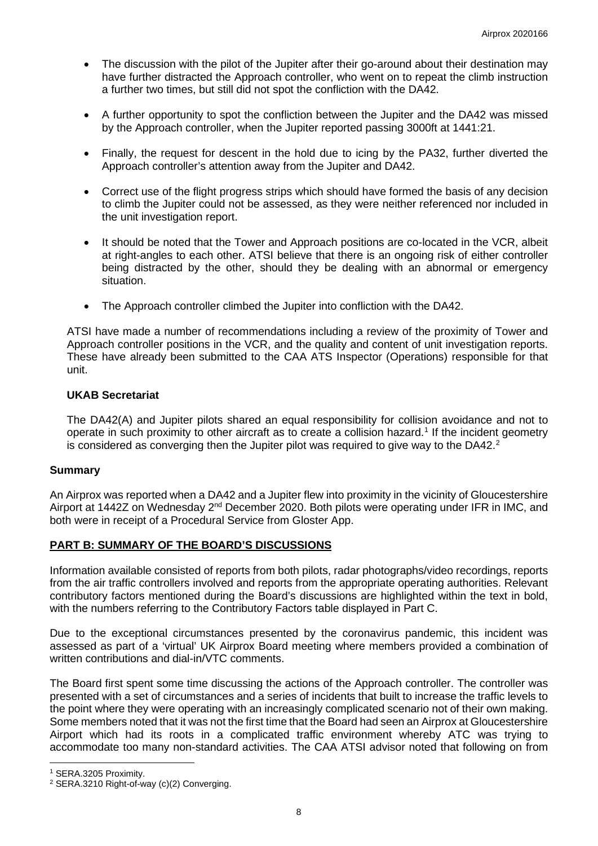- The discussion with the pilot of the Jupiter after their go-around about their destination may have further distracted the Approach controller, who went on to repeat the climb instruction a further two times, but still did not spot the confliction with the DA42.
- A further opportunity to spot the confliction between the Jupiter and the DA42 was missed by the Approach controller, when the Jupiter reported passing 3000ft at 1441:21.
- Finally, the request for descent in the hold due to icing by the PA32, further diverted the Approach controller's attention away from the Jupiter and DA42.
- Correct use of the flight progress strips which should have formed the basis of any decision to climb the Jupiter could not be assessed, as they were neither referenced nor included in the unit investigation report.
- It should be noted that the Tower and Approach positions are co-located in the VCR, albeit at right-angles to each other. ATSI believe that there is an ongoing risk of either controller being distracted by the other, should they be dealing with an abnormal or emergency situation.
- The Approach controller climbed the Jupiter into confliction with the DA42.

ATSI have made a number of recommendations including a review of the proximity of Tower and Approach controller positions in the VCR, and the quality and content of unit investigation reports. These have already been submitted to the CAA ATS Inspector (Operations) responsible for that unit.

### **UKAB Secretariat**

The DA42(A) and Jupiter pilots shared an equal responsibility for collision avoidance and not to operate in such proximity to other aircraft as to create a collision hazard. [1](#page-7-0) If the incident geometry is considered as converging then the Jupiter pilot was required to give way to the DA4[2](#page-7-1).<sup>2</sup>

### **Summary**

An Airprox was reported when a DA42 and a Jupiter flew into proximity in the vicinity of Gloucestershire Airport at 1442Z on Wednesday 2<sup>nd</sup> December 2020. Both pilots were operating under IFR in IMC, and both were in receipt of a Procedural Service from Gloster App.

### **PART B: SUMMARY OF THE BOARD'S DISCUSSIONS**

Information available consisted of reports from both pilots, radar photographs/video recordings, reports from the air traffic controllers involved and reports from the appropriate operating authorities. Relevant contributory factors mentioned during the Board's discussions are highlighted within the text in bold, with the numbers referring to the Contributory Factors table displayed in Part C.

Due to the exceptional circumstances presented by the coronavirus pandemic, this incident was assessed as part of a 'virtual' UK Airprox Board meeting where members provided a combination of written contributions and dial-in/VTC comments.

The Board first spent some time discussing the actions of the Approach controller. The controller was presented with a set of circumstances and a series of incidents that built to increase the traffic levels to the point where they were operating with an increasingly complicated scenario not of their own making. Some members noted that it was not the first time that the Board had seen an Airprox at Gloucestershire Airport which had its roots in a complicated traffic environment whereby ATC was trying to accommodate too many non-standard activities. The CAA ATSI advisor noted that following on from

<span id="page-7-0"></span><sup>1</sup> SERA.3205 Proximity.

<span id="page-7-1"></span><sup>&</sup>lt;sup>2</sup> SERA.3210 Right-of-way (c)(2) Converging.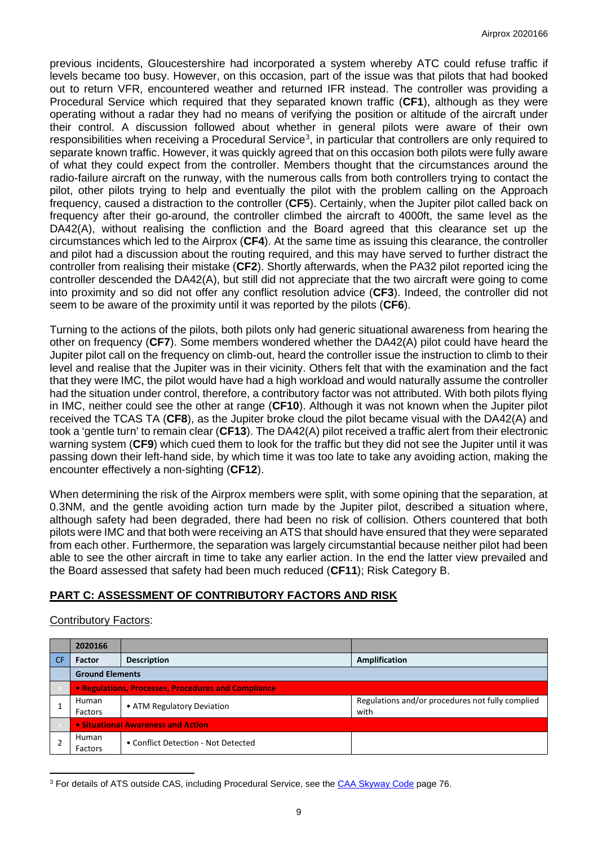previous incidents, Gloucestershire had incorporated a system whereby ATC could refuse traffic if levels became too busy. However, on this occasion, part of the issue was that pilots that had booked out to return VFR, encountered weather and returned IFR instead. The controller was providing a Procedural Service which required that they separated known traffic (**CF1**), although as they were operating without a radar they had no means of verifying the position or altitude of the aircraft under their control. A discussion followed about whether in general pilots were aware of their own responsibilities when receiving a Procedural Service<sup>[3](#page-8-0)</sup>, in particular that controllers are only required to separate known traffic. However, it was quickly agreed that on this occasion both pilots were fully aware of what they could expect from the controller. Members thought that the circumstances around the radio-failure aircraft on the runway, with the numerous calls from both controllers trying to contact the pilot, other pilots trying to help and eventually the pilot with the problem calling on the Approach frequency, caused a distraction to the controller (**CF5**). Certainly, when the Jupiter pilot called back on frequency after their go-around, the controller climbed the aircraft to 4000ft, the same level as the DA42(A), without realising the confliction and the Board agreed that this clearance set up the circumstances which led to the Airprox (**CF4**). At the same time as issuing this clearance, the controller and pilot had a discussion about the routing required, and this may have served to further distract the controller from realising their mistake (**CF2**). Shortly afterwards, when the PA32 pilot reported icing the controller descended the DA42(A), but still did not appreciate that the two aircraft were going to come into proximity and so did not offer any conflict resolution advice (**CF3**). Indeed, the controller did not seem to be aware of the proximity until it was reported by the pilots (**CF6**).

Turning to the actions of the pilots, both pilots only had generic situational awareness from hearing the other on frequency (**CF7**). Some members wondered whether the DA42(A) pilot could have heard the Jupiter pilot call on the frequency on climb-out, heard the controller issue the instruction to climb to their level and realise that the Jupiter was in their vicinity. Others felt that with the examination and the fact that they were IMC, the pilot would have had a high workload and would naturally assume the controller had the situation under control, therefore, a contributory factor was not attributed. With both pilots flying in IMC, neither could see the other at range (**CF10**). Although it was not known when the Jupiter pilot received the TCAS TA (**CF8**), as the Jupiter broke cloud the pilot became visual with the DA42(A) and took a 'gentle turn' to remain clear (**CF13**). The DA42(A) pilot received a traffic alert from their electronic warning system (**CF9**) which cued them to look for the traffic but they did not see the Jupiter until it was passing down their left-hand side, by which time it was too late to take any avoiding action, making the encounter effectively a non-sighting (**CF12**).

When determining the risk of the Airprox members were split, with some opining that the separation, at 0.3NM, and the gentle avoiding action turn made by the Jupiter pilot, described a situation where, although safety had been degraded, there had been no risk of collision. Others countered that both pilots were IMC and that both were receiving an ATS that should have ensured that they were separated from each other. Furthermore, the separation was largely circumstantial because neither pilot had been able to see the other aircraft in time to take any earlier action. In the end the latter view prevailed and the Board assessed that safety had been much reduced (**CF11**); Risk Category B.

# **PART C: ASSESSMENT OF CONTRIBUTORY FACTORS AND RISK**

### Contributory Factors:

| 2020166                                   |                                                     |                                                          |  |  |  |
|-------------------------------------------|-----------------------------------------------------|----------------------------------------------------------|--|--|--|
| Factor                                    | <b>Description</b>                                  | <b>Amplification</b>                                     |  |  |  |
| <b>Ground Elements</b>                    |                                                     |                                                          |  |  |  |
|                                           | • Regulations, Processes, Procedures and Compliance |                                                          |  |  |  |
| Human<br>Factors                          | • ATM Regulatory Deviation                          | Regulations and/or procedures not fully complied<br>with |  |  |  |
| <b>.</b> Situational Awareness and Action |                                                     |                                                          |  |  |  |
| Human<br>Factors                          | • Conflict Detection - Not Detected                 |                                                          |  |  |  |

<span id="page-8-0"></span><sup>3</sup> For details of ATS outside CAS, including Procedural Service, see the CAA Skyway Code page 76.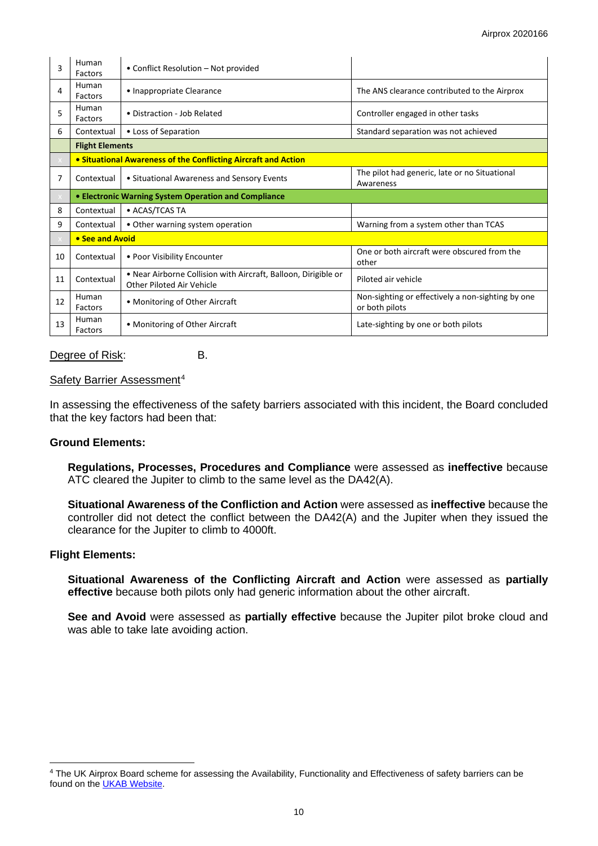| 3  | Human<br>Factors       | • Conflict Resolution – Not provided                                                        |                                                                     |  |  |  |  |
|----|------------------------|---------------------------------------------------------------------------------------------|---------------------------------------------------------------------|--|--|--|--|
| 4  | Human<br>Factors       | • Inappropriate Clearance                                                                   | The ANS clearance contributed to the Airprox                        |  |  |  |  |
| 5  | Human<br>Factors       | • Distraction - Job Related                                                                 | Controller engaged in other tasks                                   |  |  |  |  |
| 6  | Contextual             | • Loss of Separation                                                                        | Standard separation was not achieved                                |  |  |  |  |
|    | <b>Flight Elements</b> |                                                                                             |                                                                     |  |  |  |  |
|    |                        | • Situational Awareness of the Conflicting Aircraft and Action                              |                                                                     |  |  |  |  |
| 7  | Contextual             | • Situational Awareness and Sensory Events                                                  | The pilot had generic, late or no Situational<br>Awareness          |  |  |  |  |
|    |                        | <b>• Electronic Warning System Operation and Compliance</b>                                 |                                                                     |  |  |  |  |
| 8  | Contextual             | • ACAS/TCAS TA                                                                              |                                                                     |  |  |  |  |
| 9  | Contextual             | • Other warning system operation                                                            | Warning from a system other than TCAS                               |  |  |  |  |
|    | • See and Avoid        |                                                                                             |                                                                     |  |  |  |  |
| 10 | Contextual             | • Poor Visibility Encounter                                                                 | One or both aircraft were obscured from the<br>other                |  |  |  |  |
| 11 | Contextual             | . Near Airborne Collision with Aircraft, Balloon, Dirigible or<br>Other Piloted Air Vehicle | Piloted air vehicle                                                 |  |  |  |  |
| 12 | Human<br>Factors       | • Monitoring of Other Aircraft                                                              | Non-sighting or effectively a non-sighting by one<br>or both pilots |  |  |  |  |
| 13 | Human<br>Factors       | • Monitoring of Other Aircraft                                                              | Late-sighting by one or both pilots                                 |  |  |  |  |

#### Degree of Risk: B.

#### Safety Barrier Assessment<sup>[4](#page-9-0)</sup>

In assessing the effectiveness of the safety barriers associated with this incident, the Board concluded that the key factors had been that:

### **Ground Elements:**

**Regulations, Processes, Procedures and Compliance** were assessed as **ineffective** because ATC cleared the Jupiter to climb to the same level as the DA42(A).

**Situational Awareness of the Confliction and Action** were assessed as **ineffective** because the controller did not detect the conflict between the DA42(A) and the Jupiter when they issued the clearance for the Jupiter to climb to 4000ft.

#### **Flight Elements:**

**Situational Awareness of the Conflicting Aircraft and Action** were assessed as **partially effective** because both pilots only had generic information about the other aircraft.

**See and Avoid** were assessed as **partially effective** because the Jupiter pilot broke cloud and was able to take late avoiding action.

<span id="page-9-0"></span><sup>4</sup> The UK Airprox Board scheme for assessing the Availability, Functionality and Effectiveness of safety barriers can be found on the [UKAB Website.](http://www.airproxboard.org.uk/Learn-more/Airprox-Barrier-Assessment/)